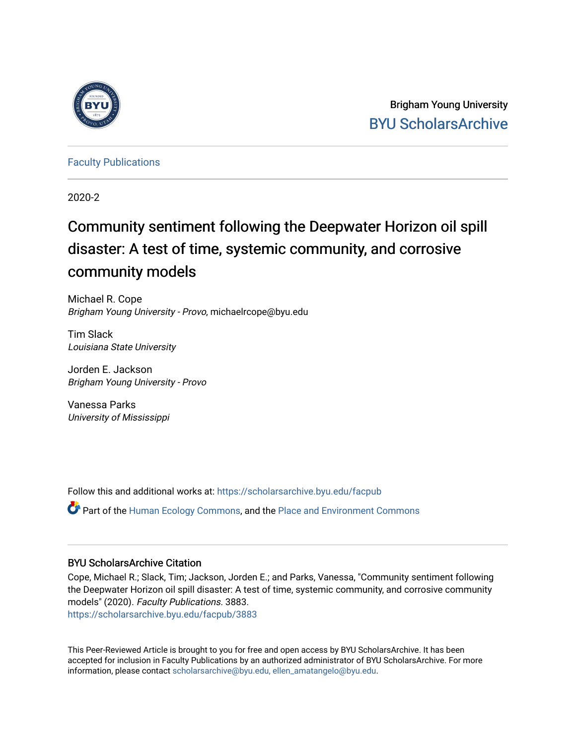

Brigham Young University [BYU ScholarsArchive](https://scholarsarchive.byu.edu/) 

[Faculty Publications](https://scholarsarchive.byu.edu/facpub)

2020-2

# Community sentiment following the Deepwater Horizon oil spill disaster: A test of time, systemic community, and corrosive community models

Michael R. Cope Brigham Young University - Provo, michaelrcope@byu.edu

Tim Slack Louisiana State University

Jorden E. Jackson Brigham Young University - Provo

Vanessa Parks University of Mississippi

Follow this and additional works at: [https://scholarsarchive.byu.edu/facpub](https://scholarsarchive.byu.edu/facpub?utm_source=scholarsarchive.byu.edu%2Ffacpub%2F3883&utm_medium=PDF&utm_campaign=PDFCoverPages) 

**C** Part of the [Human Ecology Commons,](http://network.bepress.com/hgg/discipline/1335?utm_source=scholarsarchive.byu.edu%2Ffacpub%2F3883&utm_medium=PDF&utm_campaign=PDFCoverPages) and the [Place and Environment Commons](http://network.bepress.com/hgg/discipline/424?utm_source=scholarsarchive.byu.edu%2Ffacpub%2F3883&utm_medium=PDF&utm_campaign=PDFCoverPages)

# BYU ScholarsArchive Citation

Cope, Michael R.; Slack, Tim; Jackson, Jorden E.; and Parks, Vanessa, "Community sentiment following the Deepwater Horizon oil spill disaster: A test of time, systemic community, and corrosive community models" (2020). Faculty Publications. 3883. [https://scholarsarchive.byu.edu/facpub/3883](https://scholarsarchive.byu.edu/facpub/3883?utm_source=scholarsarchive.byu.edu%2Ffacpub%2F3883&utm_medium=PDF&utm_campaign=PDFCoverPages)

This Peer-Reviewed Article is brought to you for free and open access by BYU ScholarsArchive. It has been accepted for inclusion in Faculty Publications by an authorized administrator of BYU ScholarsArchive. For more information, please contact [scholarsarchive@byu.edu, ellen\\_amatangelo@byu.edu.](mailto:scholarsarchive@byu.edu,%20ellen_amatangelo@byu.edu)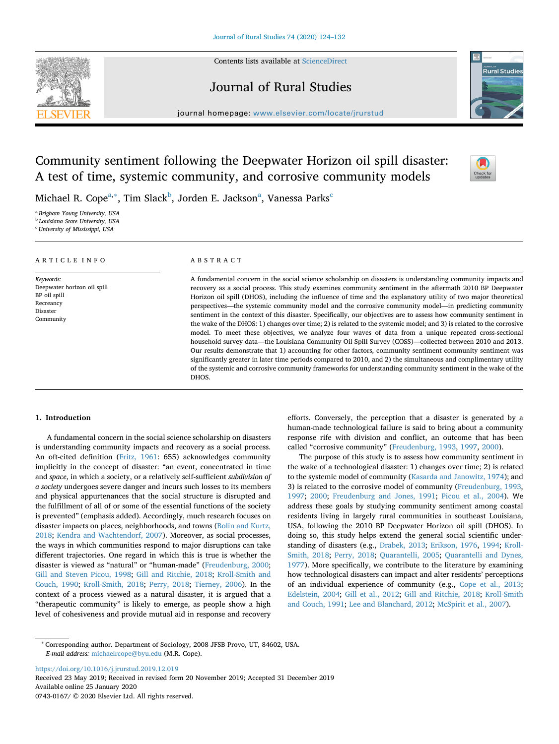Contents lists available at [ScienceDirect](http://www.sciencedirect.com/science/journal/07430167)



# Journal of Rural Studies



journal homepage: [www.elsevier.com/locate/jrurstud](https://www.elsevier.com/locate/jrurstud)

# Community sentiment following the Deepwater Horizon oil spill disaster: A test of time, systemic community, and corrosive community models



Mich[a](#page-1-0)el R. Cope<sup>a,[∗](#page-1-1)</sup>, Tim Slack<sup>b</sup>, Jorden E. Jackson<sup>a</sup>, Vanessa Parks<sup>c</sup>

DHOS.

<span id="page-1-0"></span><sup>a</sup> *Brigham Young University, USA*

<span id="page-1-2"></span><sup>b</sup> *Louisiana State University, USA*

<span id="page-1-3"></span><sup>c</sup> *University of Mississippi, USA*

| ARTICLE INFO                                                                                   | ABSTRACT                                                                                                                                                                                                                                                                                                                                                                                                                                                                                                                                                                                                                                                                                                                                                                                                                                                                                                                                                                                                                                                                                                                                       |  |  |  |
|------------------------------------------------------------------------------------------------|------------------------------------------------------------------------------------------------------------------------------------------------------------------------------------------------------------------------------------------------------------------------------------------------------------------------------------------------------------------------------------------------------------------------------------------------------------------------------------------------------------------------------------------------------------------------------------------------------------------------------------------------------------------------------------------------------------------------------------------------------------------------------------------------------------------------------------------------------------------------------------------------------------------------------------------------------------------------------------------------------------------------------------------------------------------------------------------------------------------------------------------------|--|--|--|
| Keywords:<br>Deepwater horizon oil spill<br>BP oil spill<br>Recreancy<br>Disaster<br>Community | A fundamental concern in the social science scholarship on disasters is understanding community impacts and<br>recovery as a social process. This study examines community sentiment in the aftermath 2010 BP Deepwater<br>Horizon oil spill (DHOS), including the influence of time and the explanatory utility of two major theoretical<br>perspectives—the systemic community model and the corrosive community model—in predicting community<br>sentiment in the context of this disaster. Specifically, our objectives are to assess how community sentiment in<br>the wake of the DHOS: 1) changes over time; 2) is related to the systemic model; and 3) is related to the corrosive<br>model. To meet these objectives, we analyze four waves of data from a unique repeated cross-sectional<br>household survey data—the Louisiana Community Oil Spill Survey (COSS)—collected between 2010 and 2013.<br>Our results demonstrate that 1) accounting for other factors, community sentiment community sentiment was<br>significantly greater in later time periods compared to 2010, and 2) the simultaneous and complimentary utility |  |  |  |

# **1. Introduction**

A fundamental concern in the social science scholarship on disasters is understanding community impacts and recovery as a social process. An oft-cited definition [\(Fritz, 1961:](#page-8-0) 655) acknowledges community implicitly in the concept of disaster: "an event, concentrated in time and *space*, in which a society, or a relatively self-sufficient *subdivision of a society* undergoes severe danger and incurs such losses to its members and physical appurtenances that the social structure is disrupted and the fulfillment of all of or some of the essential functions of the society is prevented" (emphasis added). Accordingly, much research focuses on disaster impacts on places, neighborhoods, and towns [\(Bolin and Kurtz,](#page-8-1) [2018;](#page-8-1) [Kendra and Wachtendorf, 2007](#page-8-2)). Moreover, as social processes, the ways in which communities respond to major disruptions can take different trajectories. One regard in which this is true is whether the disaster is viewed as "natural" or "human-made" [\(Freudenburg, 2000](#page-8-3); [Gill and Steven Picou, 1998;](#page-8-4) [Gill and Ritchie, 2018](#page-8-5); [Kroll-Smith and](#page-8-6) [Couch, 1990](#page-8-6); [Kroll-Smith, 2018](#page-8-7); [Perry, 2018;](#page-9-0) [Tierney, 2006](#page-9-1)). In the context of a process viewed as a natural disaster, it is argued that a "therapeutic community" is likely to emerge, as people show a high level of cohesiveness and provide mutual aid in response and recovery efforts. Conversely, the perception that a disaster is generated by a human-made technological failure is said to bring about a community response rife with division and conflict, an outcome that has been called "corrosive community" [\(Freudenburg, 1993,](#page-8-8) [1997,](#page-8-9) [2000\)](#page-8-3).

of the systemic and corrosive community frameworks for understanding community sentiment in the wake of the

The purpose of this study is to assess how community sentiment in the wake of a technological disaster: 1) changes over time; 2) is related to the systemic model of community [\(Kasarda and Janowitz, 1974](#page-8-10)); and 3) is related to the corrosive model of community ([Freudenburg, 1993](#page-8-8), [1997;](#page-8-9) [2000;](#page-8-3) [Freudenburg and Jones, 1991](#page-8-11); [Picou et al., 2004](#page-9-2)). We address these goals by studying community sentiment among coastal residents living in largely rural communities in southeast Louisiana, USA, following the 2010 BP Deepwater Horizon oil spill (DHOS). In doing so, this study helps extend the general social scientific understanding of disasters (e.g., [Drabek, 2013](#page-8-12); [Erikson, 1976,](#page-8-13) [1994](#page-8-14); [Kroll-](#page-8-7)[Smith, 2018;](#page-8-7) [Perry, 2018](#page-9-0); [Quarantelli, 2005](#page-9-3); [Quarantelli and Dynes,](#page-9-4) [1977\)](#page-9-4). More specifically, we contribute to the literature by examining how technological disasters can impact and alter residents' perceptions of an individual experience of community (e.g., [Cope et al., 2013](#page-8-15); [Edelstein, 2004](#page-8-16); [Gill et al., 2012;](#page-8-17) [Gill and Ritchie, 2018;](#page-8-5) [Kroll-Smith](#page-8-18) [and Couch, 1991](#page-8-18); [Lee and Blanchard, 2012](#page-8-19); [McSpirit et al., 2007](#page-9-5)).

<https://doi.org/10.1016/j.jrurstud.2019.12.019> Received 23 May 2019; Received in revised form 20 November 2019; Accepted 31 December 2019 Available online 25 January 2020 0743-0167/ © 2020 Elsevier Ltd. All rights reserved.

<span id="page-1-1"></span><sup>∗</sup> Corresponding author. Department of Sociology, 2008 JFSB Provo, UT, 84602, USA. *E-mail address:* [michaelrcope@byu.edu](mailto:michaelrcope@byu.edu) (M.R. Cope).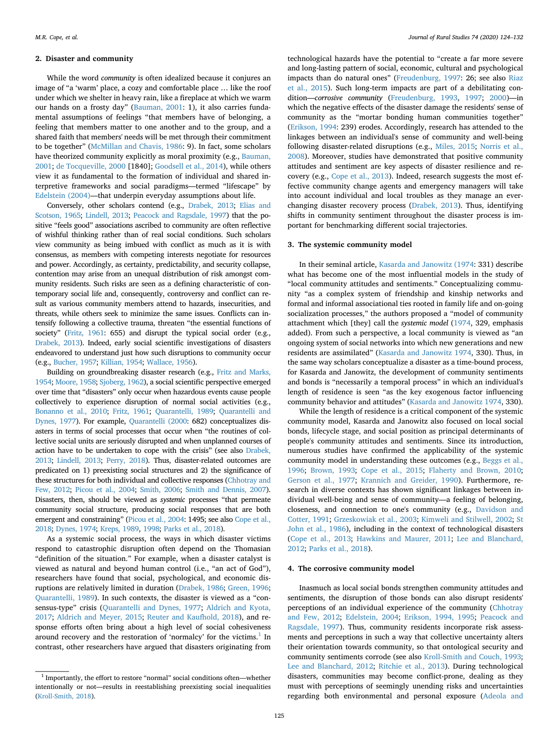#### **2. Disaster and community**

While the word *community* is often idealized because it conjures an image of "a 'warm' place, a cozy and comfortable place … like the roof under which we shelter in heavy rain, like a fireplace at which we warm our hands on a frosty day" ([Bauman, 2001:](#page-7-0) 1), it also carries fundamental assumptions of feelings "that members have of belonging, a feeling that members matter to one another and to the group, and a shared faith that members' needs will be met through their commitment to be together" ([McMillan and Chavis, 1986:](#page-9-6) 9). In fact, some scholars have theorized community explicitly as moral proximity (e.g., [Bauman,](#page-7-0) [2001;](#page-7-0) [de Tocqueville, 2000](#page-8-20) [1840]; [Goodsell et al., 2014\)](#page-8-21), while others view it as fundamental to the formation of individual and shared interpretive frameworks and social paradigms—termed "lifescape" by [Edelstein \(2004\)](#page-8-16)—that underpin everyday assumptions about life.

Conversely, other scholars contend (e.g., [Drabek, 2013](#page-8-12); [Elias and](#page-8-22) [Scotson, 1965;](#page-8-22) [Lindell, 2013;](#page-8-23) [Peacock and Ragsdale, 1997](#page-9-7)) that the positive "feels good" associations ascribed to community are often reflective of wishful thinking rather than of real social conditions. Such scholars view community as being imbued with conflict as much as it is with consensus, as members with competing interests negotiate for resources and power. Accordingly, as certainty, predictability, and security collapse, contention may arise from an unequal distribution of risk amongst community residents. Such risks are seen as a defining characteristic of contemporary social life and, consequently, controversy and conflict can result as various community members attend to hazards, insecurities, and threats, while others seek to minimize the same issues. Conflicts can intensify following a collective trauma, threaten "the essential functions of society" ([Fritz, 1961:](#page-8-0) 655) and disrupt the typical social order (e.g., [Drabek, 2013](#page-8-12)). Indeed, early social scientific investigations of disasters endeavored to understand just how such disruptions to community occur (e.g., [Bucher, 1957;](#page-8-24) [Killian, 1954;](#page-8-25) [Wallace, 1956](#page-9-8)).

Building on groundbreaking disaster research (e.g., [Fritz and Marks,](#page-8-26) [1954;](#page-8-26) [Moore, 1958](#page-9-9); [Sjoberg, 1962](#page-9-10)), a social scientific perspective emerged over time that "disasters" only occur when hazardous events cause people collectively to experience disruption of normal social activities (e.g., [Bonanno et al., 2010](#page-8-27); [Fritz, 1961](#page-8-0); [Quarantelli, 1989](#page-9-11); [Quarantelli and](#page-9-4) [Dynes, 1977\)](#page-9-4). For example, [Quarantelli \(2000](#page-9-12): 682) conceptualizes disasters in terms of social processes that occur when "the routines of collective social units are seriously disrupted and when unplanned courses of action have to be undertaken to cope with the crisis" (see also [Drabek,](#page-8-12) [2013;](#page-8-12) [Lindell, 2013](#page-8-23); [Perry, 2018\)](#page-9-0). Thus, disaster-related outcomes are predicated on 1) preexisting social structures and 2) the significance of these structures for both individual and collective responses ([Chhotray and](#page-8-28) [Few, 2012;](#page-8-28) [Picou et al., 2004;](#page-9-2) [Smith, 2006](#page-9-13); [Smith and Dennis, 2007\)](#page-9-14). Disasters, then, should be viewed as *systemic* processes "that permeate community social structure, producing social responses that are both emergent and constraining" ([Picou et al., 2004](#page-9-2): 1495; see also [Cope et al.,](#page-8-29) [2018;](#page-8-29) [Dynes, 1974](#page-8-30); [Kreps, 1989,](#page-8-31) [1998;](#page-8-32) [Parks et al., 2018\)](#page-9-15).

As a systemic social process, the ways in which disaster victims respond to catastrophic disruption often depend on the Thomasian "definition of the situation." For example, when a disaster catalyst is viewed as natural and beyond human control (i.e., "an act of God"), researchers have found that social, psychological, and economic disruptions are relatively limited in duration [\(Drabek, 1986](#page-8-33); [Green, 1996](#page-8-34); [Quarantelli, 1989\)](#page-9-11). In such contexts, the disaster is viewed as a "consensus-type" crisis [\(Quarantelli and Dynes, 1977](#page-9-4); [Aldrich and Kyota,](#page-7-1) [2017;](#page-7-1) [Aldrich and Meyer, 2015](#page-7-2); [Reuter and Kaufhold, 2018\)](#page-9-16), and response efforts often bring about a high level of social cohesiveness around recovery and the restoration of 'normalcy' for the victims. $<sup>1</sup>$  In</sup> contrast, other researchers have argued that disasters originating from

technological hazards have the potential to "create a far more severe and long-lasting pattern of social, economic, cultural and psychological impacts than do natural ones" ([Freudenburg, 1997](#page-8-9): 26; see also [Riaz](#page-9-17) [et al., 2015](#page-9-17)). Such long-term impacts are part of a debilitating condition—*corrosive community* ([Freudenburg, 1993,](#page-8-8) [1997;](#page-8-9) [2000\)](#page-8-3)—in which the negative effects of the disaster damage the residents' sense of community as the "mortar bonding human communities together" ([Erikson, 1994:](#page-8-14) 239) erodes. Accordingly, research has attended to the linkages between an individual's sense of community and well-being following disaster-related disruptions (e.g., [Miles, 2015](#page-9-18); [Norris et al.,](#page-9-19) [2008\)](#page-9-19). Moreover, studies have demonstrated that positive community attitudes and sentiment are key aspects of disaster resilience and recovery (e.g., [Cope et al., 2013](#page-8-15)). Indeed, research suggests the most effective community change agents and emergency managers will take into account individual and local troubles as they manage an everchanging disaster recovery process ([Drabek, 2013\)](#page-8-12). Thus, identifying shifts in community sentiment throughout the disaster process is important for benchmarking different social trajectories.

#### **3. The systemic community model**

In their seminal article, [Kasarda and Janowitz \(1974](#page-8-10): 331) describe what has become one of the most influential models in the study of "local community attitudes and sentiments." Conceptualizing community "as a complex system of friendship and kinship networks and formal and informal associational ties rooted in family life and on-going socialization processes," the authors proposed a "model of community attachment which [they] call the *systemic model* ([1974,](#page-8-10) 329, emphasis added). From such a perspective, a local community is viewed as "an ongoing system of social networks into which new generations and new residents are assimilated" [\(Kasarda and Janowitz 1974](#page-8-10), 330). Thus, in the same way scholars conceptualize a disaster as a time-bound process, for Kasarda and Janowitz, the development of community sentiments and bonds is "necessarily a temporal process" in which an individual's length of residence is seen "as the key exogenous factor influencing community behavior and attitudes" ([Kasarda and Janowitz 1974,](#page-8-10) 330).

While the length of residence is a critical component of the systemic community model, Kasarda and Janowitz also focused on local social bonds, lifecycle stage, and social position as principal determinants of people's community attitudes and sentiments. Since its introduction, numerous studies have confirmed the applicability of the systemic community model in understanding these outcomes (e.g., [Beggs et al.,](#page-7-3) [1996;](#page-7-3) [Brown, 1993](#page-8-35); [Cope et al., 2015;](#page-8-36) [Flaherty and Brown, 2010](#page-8-37); [Gerson et al., 1977](#page-8-38); [Krannich and Greider, 1990](#page-8-39)). Furthermore, research in diverse contexts has shown significant linkages between individual well-being and sense of community—a feeling of belonging, closeness, and connection to one's community (e.g., [Davidson and](#page-8-40) [Cotter, 1991](#page-8-40); [Grzeskowiak et al., 2003](#page-8-41); [Kimweli and Stilwell, 2002;](#page-8-42) [St](#page-9-20) [John et al., 1986\)](#page-9-20), including in the context of technological disasters ([Cope et al., 2013](#page-8-15); [Hawkins and Maurer, 2011](#page-8-43); [Lee and Blanchard,](#page-8-19) [2012;](#page-8-19) [Parks et al., 2018](#page-9-15)).

## **4. The corrosive community model**

Inasmuch as local social bonds strengthen community attitudes and sentiments, the disruption of those bonds can also disrupt residents' perceptions of an individual experience of the community [\(Chhotray](#page-8-28) [and Few, 2012](#page-8-28); [Edelstein, 2004;](#page-8-16) [Erikson, 1994, 1995;](#page-8-14) [Peacock and](#page-9-7) [Ragsdale, 1997](#page-9-7)). Thus, community residents incorporate risk assessments and perceptions in such a way that collective uncertainty alters their orientation towards community, so that ontological security and community sentiments corrode (see also [Kroll-Smith and Couch, 1993](#page-8-44); [Lee and Blanchard, 2012;](#page-8-19) [Ritchie et al., 2013](#page-9-21)). During technological disasters, communities may become conflict-prone, dealing as they must with perceptions of seemingly unending risks and uncertainties regarding both environmental and personal exposure [\(Adeola and](#page-7-4)

<span id="page-2-0"></span> $^{\rm 1}$  Importantly, the effort to restore "normal" social conditions often—whether intentionally or not—results in reestablishing preexisting social inequalities [\(Kroll-Smith, 2018](#page-8-7)).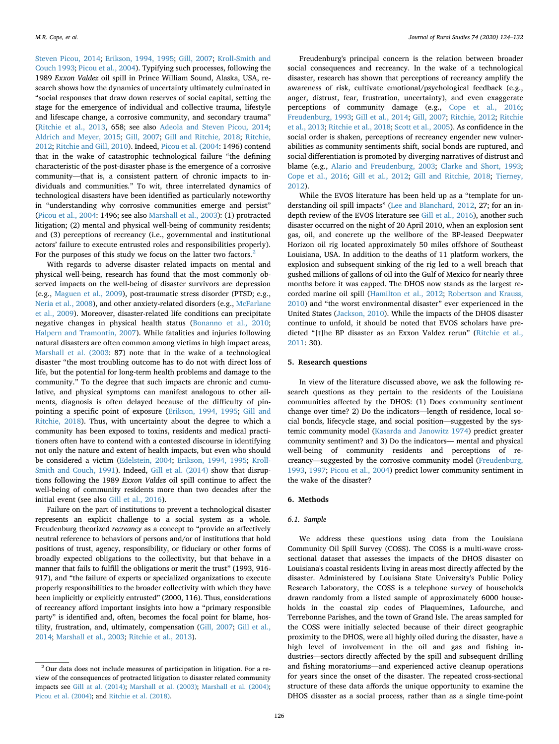[Steven Picou, 2014](#page-7-4); [Erikson, 1994, 1995](#page-8-14); [Gill, 2007;](#page-8-45) [Kroll-Smith and](#page-8-44) [Couch 1993;](#page-8-44) [Picou et al., 2004](#page-9-2)). Typifying such processes, following the 1989 *Exxon Valdez* oil spill in Prince William Sound, Alaska, USA, research shows how the dynamics of uncertainty ultimately culminated in "social responses that draw down reserves of social capital, setting the stage for the emergence of individual and collective trauma, lifestyle and lifescape change, a corrosive community, and secondary trauma" ([Ritchie et al., 2013](#page-9-21), 658; see also [Adeola and Steven Picou, 2014](#page-7-4); [Aldrich and Meyer, 2015;](#page-7-2) [Gill, 2007](#page-8-45); [Gill and Ritchie, 2018](#page-8-5); [Ritchie,](#page-9-22) [2012;](#page-9-22) [Ritchie and Gill, 2010](#page-9-23)). Indeed, [Picou et al. \(2004](#page-9-2): 1496) contend that in the wake of catastrophic technological failure "the defining characteristic of the post-disaster phase is the emergence of a corrosive community—that is, a consistent pattern of chronic impacts to individuals and communities." To wit, three interrelated dynamics of technological disasters have been identified as particularly noteworthy in "understanding why corrosive communities emerge and persist" ([Picou et al., 2004](#page-9-2): 1496; see also [Marshall et al., 2003\)](#page-8-46): (1) protracted litigation; (2) mental and physical well-being of community residents; and (3) perceptions of recreancy (i.e., governmental and institutional actors' failure to execute entrusted roles and responsibilities properly). For the purposes of this study we focus on the latter two factors.<sup>[2](#page-3-0)</sup>

With regards to adverse disaster related impacts on mental and physical well-being, research has found that the most commonly observed impacts on the well-being of disaster survivors are depression (e.g., [Maguen et al., 2009](#page-8-47)), post-traumatic stress disorder (PTSD; e.g., [Neria et al., 2008\)](#page-9-24), and other anxiety-related disorders (e.g., [McFarlane](#page-9-25) [et al., 2009\)](#page-9-25). Moreover, disaster-related life conditions can precipitate negative changes in physical health status ([Bonanno et al., 2010](#page-8-27); [Halpern and Tramontin, 2007](#page-8-48)). While fatalities and injuries following natural disasters are often common among victims in high impact areas, [Marshall et al. \(2003:](#page-8-46) 87) note that in the wake of a technological disaster "the most troubling outcome has to do not with direct loss of life, but the potential for long-term health problems and damage to the community." To the degree that such impacts are chronic and cumulative, and physical symptoms can manifest analogous to other ailments, diagnosis is often delayed because of the difficulty of pinpointing a specific point of exposure [\(Erikson, 1994, 1995](#page-8-14); [Gill and](#page-8-5) [Ritchie, 2018](#page-8-5)). Thus, with uncertainty about the degree to which a community has been exposed to toxins, residents and medical practitioners often have to contend with a contested discourse in identifying not only the nature and extent of health impacts, but even who should be considered a victim ([Edelstein, 2004](#page-8-16); [Erikson, 1994, 1995](#page-8-14); [Kroll-](#page-8-18)[Smith and Couch, 1991](#page-8-18)). Indeed, [Gill et al. \(2014\)](#page-8-49) show that disruptions following the 1989 *Exxon Valdez* oil spill continue to affect the well-being of community residents more than two decades after the initial event (see also [Gill et al., 2016](#page-8-50)).

Failure on the part of institutions to prevent a technological disaster represents an explicit challenge to a social system as a whole. Freudenburg theorized *recreancy* as a concept to "provide an affectively neutral reference to behaviors of persons and/or of institutions that hold positions of trust, agency, responsibility, or fiduciary or other forms of broadly expected obligations to the collectivity, but that behave in a manner that fails to fulfill the obligations or merit the trust" (1993, 916- 917), and "the failure of experts or specialized organizations to execute properly responsibilities to the broader collectivity with which they have been implicitly or explicitly entrusted" (2000, 116). Thus, considerations of recreancy afford important insights into how a "primary responsible party" is identified and, often, becomes the focal point for blame, hostility, frustration, and, ultimately, compensation ([Gill, 2007](#page-8-45); [Gill et al.,](#page-8-49) [2014](#page-8-49); [Marshall et al., 2003;](#page-8-46) [Ritchie et al., 2013](#page-9-21)).

Freudenburg's principal concern is the relation between broader social consequences and recreancy. In the wake of a technological disaster, research has shown that perceptions of recreancy amplify the awareness of risk, cultivate emotional/psychological feedback (e.g., anger, distrust, fear, frustration, uncertainty), and even exaggerate perceptions of community damage (e.g., [Cope et al., 2016](#page-8-51); [Freudenburg, 1993](#page-8-8); [Gill et al., 2014](#page-8-49); [Gill, 2007](#page-8-45); [Ritchie, 2012;](#page-9-22) [Ritchie](#page-9-21) [et al., 2013](#page-9-21); [Ritchie et al., 2018;](#page-9-26) [Scott et al., 2005\)](#page-9-27). As confidence in the social order is shaken, perceptions of recreancy engender new vulnerabilities as community sentiments shift, social bonds are ruptured, and social differentiation is promoted by diverging narratives of distrust and blame (e.g., [Alario and Freudenburg, 2003;](#page-7-5) [Clarke and Short, 1993](#page-8-52); [Cope et al., 2016;](#page-8-51) [Gill et al., 2012](#page-8-17); [Gill and Ritchie, 2018;](#page-8-5) [Tierney,](#page-9-28) [2012\)](#page-9-28).

While the EVOS literature has been held up as a "template for understanding oil spill impacts" ([Lee and Blanchard, 2012,](#page-8-19) 27; for an indepth review of the EVOS literature see [Gill et al., 2016](#page-8-50)), another such disaster occurred on the night of 20 April 2010, when an explosion sent gas, oil, and concrete up the wellbore of the BP-leased Deepwater Horizon oil rig located approximately 50 miles offshore of Southeast Louisiana, USA. In addition to the deaths of 11 platform workers, the explosion and subsequent sinking of the rig led to a well breach that gushed millions of gallons of oil into the Gulf of Mexico for nearly three months before it was capped. The DHOS now stands as the largest recorded marine oil spill ([Hamilton et al., 2012](#page-8-53); [Robertson and Krauss,](#page-9-29) [2010\)](#page-9-29) and "the worst environmental disaster" ever experienced in the United States ([Jackson, 2010](#page-8-54)). While the impacts of the DHOS disaster continue to unfold, it should be noted that EVOS scholars have predicted "[t]he BP disaster as an Exxon Valdez rerun" ([Ritchie et al.,](#page-9-30) [2011:](#page-9-30) 30).

#### **5. Research questions**

In view of the literature discussed above, we ask the following research questions as they pertain to the residents of the Louisiana communities affected by the DHOS: (1) Does community sentiment change over time? 2) Do the indicators—length of residence, local social bonds, lifecycle stage, and social position—suggested by the systemic community model ([Kasarda and Janowitz 1974](#page-8-10)) predict greater community sentiment? and 3) Do the indicators— mental and physical well-being of community residents and perceptions of recreancy—suggested by the corrosive community model [\(Freudenburg,](#page-8-8) [1993,](#page-8-8) [1997](#page-8-9); [Picou et al., 2004](#page-9-2)) predict lower community sentiment in the wake of the disaster?

# **6. Methods**

#### *6.1. Sample*

We address these questions using data from the Louisiana Community Oil Spill Survey (COSS). The COSS is a multi-wave crosssectional dataset that assesses the impacts of the DHOS disaster on Louisiana's coastal residents living in areas most directly affected by the disaster. Administered by Louisiana State University's Public Policy Research Laboratory, the COSS is a telephone survey of households drawn randomly from a listed sample of approximately 6000 households in the coastal zip codes of Plaquemines, Lafourche, and Terrebonne Parishes, and the town of Grand Isle. The areas sampled for the COSS were initially selected because of their direct geographic proximity to the DHOS, were all highly oiled during the disaster, have a high level of involvement in the oil and gas and fishing industries—sectors directly affected by the spill and subsequent drilling and fishing moratoriums—and experienced active cleanup operations for years since the onset of the disaster. The repeated cross-sectional structure of these data affords the unique opportunity to examine the DHOS disaster as a social process, rather than as a single time-point

<span id="page-3-0"></span> $2$  Our data does not include measures of participation in litigation. For a review of the consequences of protracted litigation to disaster related community impacts see [Gill at al. \(2014\);](#page-8-49) [Marshall et al. \(2003\)](#page-8-46); [Marshall et al. \(2004\);](#page-9-31) [Picou et al. \(2004\);](#page-9-2) and [Ritchie et al. \(2018\)](#page-9-26).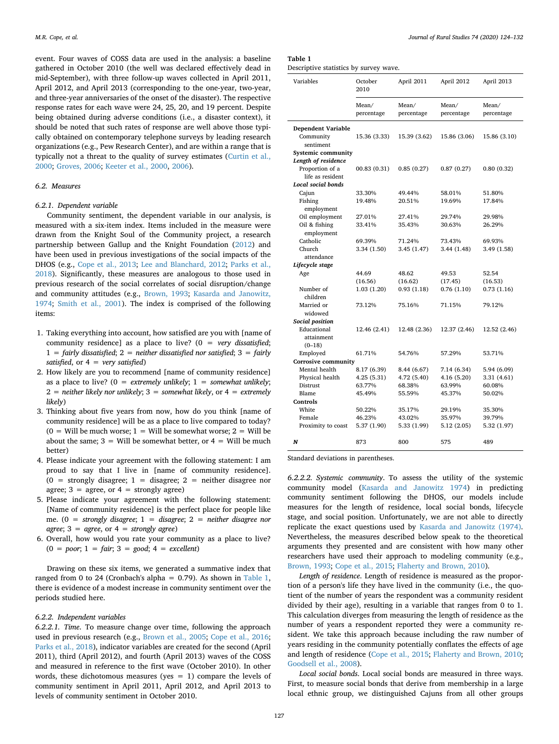event. Four waves of COSS data are used in the analysis: a baseline gathered in October 2010 (the well was declared effectively dead in mid-September), with three follow-up waves collected in April 2011, April 2012, and April 2013 (corresponding to the one-year, two-year, and three-year anniversaries of the onset of the disaster). The respective response rates for each wave were 24, 25, 20, and 19 percent. Despite being obtained during adverse conditions (i.e., a disaster context), it should be noted that such rates of response are well above those typically obtained on contemporary telephone surveys by leading research organizations (e.g., Pew Research Center), and are within a range that is typically not a threat to the quality of survey estimates [\(Curtin et al.,](#page-8-55) [2000;](#page-8-55) [Groves, 2006;](#page-8-56) [Keeter et al., 2000,](#page-8-57) [2006](#page-8-58)).

# *6.2. Measures*

# *6.2.1. Dependent variable*

Community sentiment, the dependent variable in our analysis, is measured with a six-item index. Items included in the measure were drawn from the Knight Soul of the Community project, a research partnership between Gallup and the Knight Foundation ([2012](#page-8-59)) and have been used in previous investigations of the social impacts of the DHOS (e.g., [Cope et al., 2013](#page-8-15); [Lee and Blanchard, 2012;](#page-8-19) [Parks et al.,](#page-9-15) [2018\)](#page-9-15). Significantly, these measures are analogous to those used in previous research of the social correlates of social disruption/change and community attitudes (e.g., [Brown, 1993](#page-8-35); [Kasarda and Janowitz,](#page-8-10) [1974;](#page-8-10) [Smith et al., 2001\)](#page-9-32). The index is comprised of the following items:

- 1. Taking everything into account, how satisfied are you with [name of community residence] as a place to live? (0 = *very dissatisfied*; 1 = *fairly dissatisfied*; 2 = *neither dissatisfied nor satisfied*; 3 = *fairly satisfied*, or 4 = *very satisfied*)
- 2. How likely are you to recommend [name of community residence] as a place to live?  $(0 =$  *extremely unlikely*;  $1 =$  *somewhat unlikely*; 2 = *neither likely nor unlikely*; 3 = *somewhat likely*, or 4 = *extremely likely*)
- 3. Thinking about five years from now, how do you think [name of community residence] will be as a place to live compared to today?  $(0 =$  Will be much worse; 1 = Will be somewhat worse; 2 = Will be about the same;  $3 =$  Will be somewhat better, or  $4 =$  Will be much better)
- 4. Please indicate your agreement with the following statement: I am proud to say that I live in [name of community residence].  $(0 =$  strongly disagree;  $1 =$  disagree;  $2 =$  neither disagree nor agree;  $3 =$  agree, or  $4 =$  strongly agree)
- 5. Please indicate your agreement with the following statement: [Name of community residence] is the perfect place for people like me. (0 = *strongly disagree*; 1 = *disagree*; 2 = *neither disagree nor agree*; 3 = *agree*, or 4 = *strongly agree*)
- 6. Overall, how would you rate your community as a place to live? (0 = *poor*; 1 = *fair*; 3 = *good*; 4 = *excellent*)

Drawing on these six items, we generated a summative index that ranged from 0 to 24 (Cronbach's alpha = 0.79). As shown in [Table 1](#page-4-0), there is evidence of a modest increase in community sentiment over the periods studied here.

# *6.2.2. Independent variables*

*6.2.2.1. Time*. To measure change over time, following the approach used in previous research (e.g., [Brown et al., 2005;](#page-8-60) [Cope et al., 2016](#page-8-51); [Parks et al., 2018\)](#page-9-15), indicator variables are created for the second (April 2011), third (April 2012), and fourth (April 2013) waves of the COSS and measured in reference to the first wave (October 2010). In other words, these dichotomous measures (yes  $= 1$ ) compare the levels of community sentiment in April 2011, April 2012, and April 2013 to levels of community sentiment in October 2010.

<span id="page-4-0"></span>

| Table 1                   |  |
|---------------------------|--|
| Descriptive statistics by |  |

survey wave.

| Variables                                 | October<br>2010     | April 2011          | April 2012          | April 2013          |  |
|-------------------------------------------|---------------------|---------------------|---------------------|---------------------|--|
|                                           | Mean/<br>percentage | Mean/<br>percentage | Mean/<br>percentage | Mean/<br>percentage |  |
| <b>Dependent Variable</b>                 |                     |                     |                     |                     |  |
| Community<br>sentiment                    | 15.36 (3.33)        | 15.39 (3.62)        | 15.86 (3.06)        | 15.86 (3.10)        |  |
| Systemic community<br>Length of residence |                     |                     |                     |                     |  |
| Proportion of a<br>life as resident       | 00.83(0.31)         | 0.85(0.27)          | 0.87(0.27)          | 0.80(0.32)          |  |
| <b>Local social bonds</b>                 |                     |                     |                     |                     |  |
| Cajun                                     | 33.30%              | 49.44%              | 58.01%              | 51.80%              |  |
| Fishing<br>employment                     | 19.48%              | 20.51%              | 19.69%              | 17.84%              |  |
| Oil employment                            | 27.01%              | 27.41%              | 29.74%              | 29.98%              |  |
| Oil & fishing<br>employment               | 33.41%              | 35.43%              | 30.63%              | 26.29%              |  |
| Catholic                                  | 69.39%              | 71.24%              | 73.43%              | 69.93%              |  |
| Church<br>attendance                      | 3.34 (1.50)         | 3.45(1.47)          | 3.44 (1.48)         | 3.49 (1.58)         |  |
| Lifecycle stage                           |                     |                     |                     |                     |  |
| Age                                       | 44.69               | 48.62               | 49.53               | 52.54               |  |
|                                           | (16.56)             | (16.62)             | (17.45)             | (16.53)             |  |
| Number of                                 | 1.03(1.20)          | 0.93(1.18)          | 0.76(1.10)          | 0.73(1.16)          |  |
| children                                  |                     |                     |                     |                     |  |
| Married or                                | 73.12%              | 75.16%              | 71.15%              | 79.12%              |  |
| widowed                                   |                     |                     |                     |                     |  |
| Social position                           |                     |                     |                     |                     |  |
| Educational<br>attainment                 | 12.46 (2.41)        | 12.48 (2.36)        | 12.37 (2.46)        | 12.52 (2.46)        |  |
| $(0-18)$                                  |                     |                     |                     |                     |  |
| Employed                                  | 61.71%              | 54.76%              | 57.29%              | 53.71%              |  |
| Corrosive community                       |                     |                     |                     |                     |  |
| Mental health                             | 8.17 (6.39)         | 8.44 (6.67)         | 7.14 (6.34)         | 5.94 (6.09)         |  |
| Physical health                           | 4.25(5.31)          | 4.72 (5.40)         | 4.16 (5.20)         | 3.31 (4.61)         |  |
| Distrust                                  | 63.77%              | 68.38%              | 63.99%              | 60.08%              |  |
| <b>Blame</b>                              | 45.49%              | 55.59%              | 45.37%              | 50.02%              |  |
| Controls                                  |                     |                     |                     |                     |  |
| White                                     | 50.22%              | 35.17%              | 29.19%              | 35.30%              |  |
| Female                                    | 46.23%              | 43.02%              | 35.97%              | 39.79%              |  |
| Proximity to coast                        | 5.37 (1.90)         | 5.33 (1.99)         | 5.12(2.05)          | 5.32 (1.97)         |  |
| N                                         | 873                 | 800                 | 575                 | 489                 |  |

Standard deviations in parentheses.

*6.2.2.2. Systemic community*. To assess the utility of the systemic community model ([Kasarda and Janowitz 1974\)](#page-8-10) in predicting community sentiment following the DHOS, our models include measures for the length of residence, local social bonds, lifecycle stage, and social position. Unfortunately, we are not able to directly replicate the exact questions used by [Kasarda and Janowitz \(1974\)](#page-8-10). Nevertheless, the measures described below speak to the theoretical arguments they presented and are consistent with how many other researchers have used their approach to modeling community (e.g., [Brown, 1993](#page-8-35); [Cope et al., 2015](#page-8-36); [Flaherty and Brown, 2010\)](#page-8-37).

*Length of residence*. Length of residence is measured as the proportion of a person's life they have lived in the community (i.e., the quotient of the number of years the respondent was a community resident divided by their age), resulting in a variable that ranges from 0 to 1. This calculation diverges from measuring the length of residence as the number of years a respondent reported they were a community resident. We take this approach because including the raw number of years residing in the community potentially conflates the effects of age and length of residence ([Cope et al., 2015;](#page-8-36) [Flaherty and Brown, 2010](#page-8-37); [Goodsell et al., 2008\)](#page-8-61).

*Local social bonds*. Local social bonds are measured in three ways. First, to measure social bonds that derive from membership in a large local ethnic group, we distinguished Cajuns from all other groups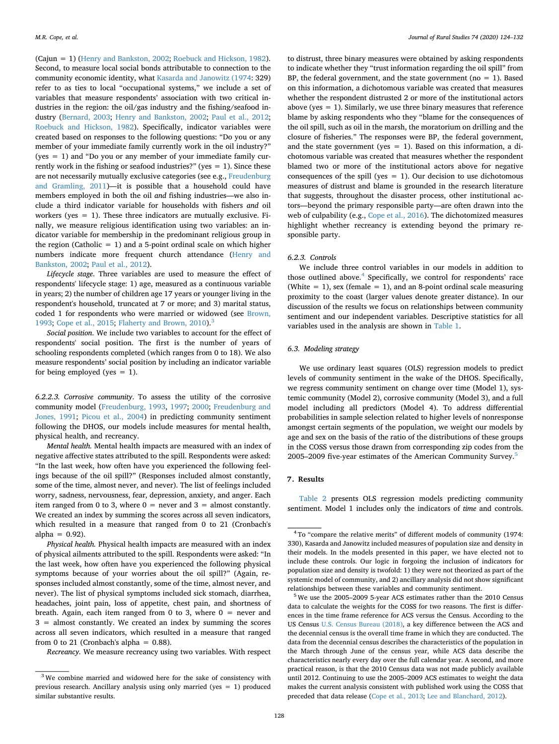(Cajun = 1) [\(Henry and Bankston, 2002](#page-8-62); [Roebuck and Hickson, 1982](#page-9-33)). Second, to measure local social bonds attributable to connection to the community economic identity, what [Kasarda and Janowitz \(1974:](#page-8-10) 329) refer to as ties to local "occupational systems," we include a set of variables that measure respondents' association with two critical industries in the region: the oil/gas industry and the fishing/seafood industry [\(Bernard, 2003;](#page-8-63) [Henry and Bankston, 2002](#page-8-62); [Paul et al., 2012](#page-9-34); [Roebuck and Hickson, 1982\)](#page-9-33). Specifically, indicator variables were created based on responses to the following questions: "Do you or any member of your immediate family currently work in the oil industry?" ( $ves = 1$ ) and "Do you or any member of your immediate family currently work in the fishing or seafood industries?" (yes  $= 1$ ). Since these are not necessarily mutually exclusive categories (see e.g., [Freudenburg](#page-8-64) [and Gramling, 2011\)](#page-8-64)—it is possible that a household could have members employed in both the oil *and* fishing industries—we also include a third indicator variable for households with fishers *and* oil workers (yes  $= 1$ ). These three indicators are mutually exclusive. Finally, we measure religious identification using two variables: an indicator variable for membership in the predominant religious group in the region (Catholic  $= 1$ ) and a 5-point ordinal scale on which higher numbers indicate more frequent church attendance ([Henry and](#page-8-62) [Bankston, 2002;](#page-8-62) [Paul et al., 2012\)](#page-9-34).

*Lifecycle stage*. Three variables are used to measure the effect of respondents' lifecycle stage: 1) age, measured as a continuous variable in years; 2) the number of children age 17 years or younger living in the respondent's household, truncated at 7 or more; and 3) marital status, coded 1 for respondents who were married or widowed (see [Brown,](#page-8-35) [1993;](#page-8-35) [Cope et al., 2015;](#page-8-36) [Flaherty and Brown, 2010\)](#page-8-37).<sup>[3](#page-5-0)</sup>

*Social position*. We include two variables to account for the effect of respondents' social position. The first is the number of years of schooling respondents completed (which ranges from 0 to 18). We also measure respondents' social position by including an indicator variable for being employed (yes  $= 1$ ).

*6.2.2.3. Corrosive community*. To assess the utility of the corrosive community model [\(Freudenburg, 1993](#page-8-8), [1997](#page-8-9); [2000;](#page-8-3) [Freudenburg and](#page-8-11) [Jones, 1991](#page-8-11); [Picou et al., 2004](#page-9-2)) in predicting community sentiment following the DHOS, our models include measures for mental health, physical health, and recreancy.

*Mental health.* Mental health impacts are measured with an index of negative affective states attributed to the spill. Respondents were asked: "In the last week, how often have you experienced the following feelings because of the oil spill?" (Responses included almost constantly, some of the time, almost never, and never). The list of feelings included worry, sadness, nervousness, fear, depression, anxiety, and anger. Each item ranged from 0 to 3, where  $0 =$  never and  $3 =$  almost constantly. We created an index by summing the scores across all seven indicators, which resulted in a measure that ranged from 0 to 21 (Cronbach's alpha  $= 0.92$ ).

*Physical health.* Physical health impacts are measured with an index of physical ailments attributed to the spill. Respondents were asked: "In the last week, how often have you experienced the following physical symptoms because of your worries about the oil spill?" (Again, responses included almost constantly, some of the time, almost never, and never). The list of physical symptoms included sick stomach, diarrhea, headaches, joint pain, loss of appetite, chest pain, and shortness of breath. Again, each item ranged from 0 to 3, where  $0 =$  never and 3 = almost constantly. We created an index by summing the scores across all seven indicators, which resulted in a measure that ranged from 0 to 21 (Cronbach's alpha =  $0.88$ ).

*Recreancy.* We measure recreancy using two variables. With respect

to distrust, three binary measures were obtained by asking respondents to indicate whether they "trust information regarding the oil spill" from BP, the federal government, and the state government ( $no = 1$ ). Based on this information, a dichotomous variable was created that measures whether the respondent distrusted 2 or more of the institutional actors above (yes  $= 1$ ). Similarly, we use three binary measures that reference blame by asking respondents who they "blame for the consequences of the oil spill, such as oil in the marsh, the moratorium on drilling and the closure of fisheries." The responses were BP, the federal government, and the state government (yes  $= 1$ ). Based on this information, a dichotomous variable was created that measures whether the respondent blamed two or more of the institutional actors above for negative consequences of the spill (yes  $= 1$ ). Our decision to use dichotomous measures of distrust and blame is grounded in the research literature that suggests, throughout the disaster process, other institutional actors—beyond the primary responsible party—are often drawn into the web of culpability (e.g., [Cope et al., 2016](#page-8-51)). The dichotomized measures highlight whether recreancy is extending beyond the primary responsible party.

#### *6.2.3. Controls*

We include three control variables in our models in addition to those outlined above.<sup>4</sup> Specifically, we control for respondents' race (White  $= 1$ ), sex (female  $= 1$ ), and an 8-point ordinal scale measuring proximity to the coast (larger values denote greater distance). In our discussion of the results we focus on relationships between community sentiment and our independent variables. Descriptive statistics for all variables used in the analysis are shown in [Table 1](#page-4-0).

#### *6.3. Modeling strategy*

We use ordinary least squares (OLS) regression models to predict levels of community sentiment in the wake of the DHOS. Specifically, we regress community sentiment on change over time (Model 1), systemic community (Model 2), corrosive community (Model 3), and a full model including all predictors (Model 4). To address differential probabilities in sample selection related to higher levels of nonresponse amongst certain segments of the population, we weight our models by age and sex on the basis of the ratio of the distributions of these groups in the COSS versus those drawn from corresponding zip codes from the 200[5](#page-5-2)–2009 five-year estimates of the American Community Survey.<sup>5</sup>

#### **7. Results**

[Table 2](#page-6-0) presents OLS regression models predicting community sentiment. Model 1 includes only the indicators of *time* and controls.

<span id="page-5-0"></span><sup>&</sup>lt;sup>3</sup> We combine married and widowed here for the sake of consistency with previous research. Ancillary analysis using only married (yes = 1) produced similar substantive results.

<span id="page-5-1"></span><sup>4</sup> To "compare the relative merits" of different models of community (1974: 330), Kasarda and Janowitz included measures of population size and density in their models. In the models presented in this paper, we have elected not to include these controls. Our logic in forgoing the inclusion of indicators for population size and density is twofold: 1) they were not theorized as part of the systemic model of community, and 2) ancillary analysis did not show significant relationships between these variables and community sentiment.

<span id="page-5-2"></span><sup>&</sup>lt;sup>5</sup> We use the 2005–2009 5-year ACS estimates rather than the 2010 Census data to calculate the weights for the COSS for two reasons. The first is differences in the time frame reference for ACS versus the Census. According to the US Census [U.S. Census Bureau \(2018\)](#page-9-35), a key difference between the ACS and the decennial census is the overall time frame in which they are conducted. The data from the decennial census describes the characteristics of the population in the March through June of the census year, while ACS data describe the characteristics nearly every day over the full calendar year. A second, and more practical reason, is that the 2010 Census data was not made publicly available until 2012. Continuing to use the 2005–2009 ACS estimates to weight the data makes the current analysis consistent with published work using the COSS that preceded that data release [\(Cope et al., 2013](#page-8-15); [Lee and Blanchard, 2012\)](#page-8-19).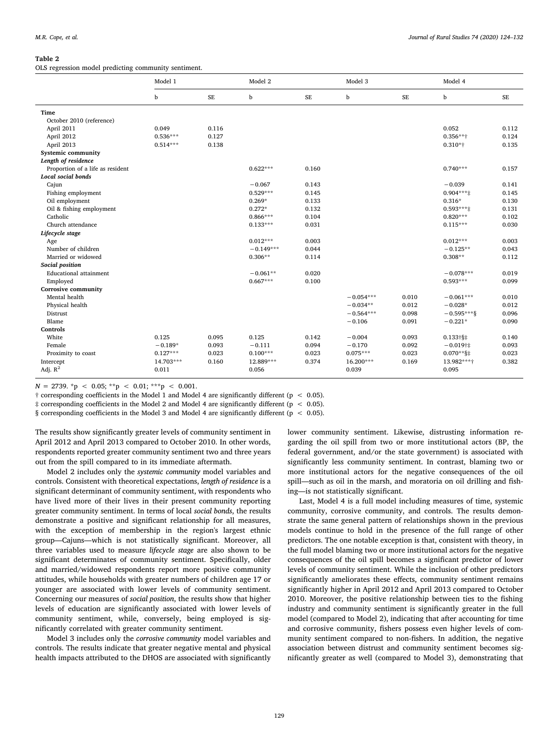#### <span id="page-6-0"></span>**Table 2**

OLS regression model predicting community sentiment.

|                                  | Model 1    |          | Model 2     |          | Model 3     |       | Model 4             |       |
|----------------------------------|------------|----------|-------------|----------|-------------|-------|---------------------|-------|
|                                  | b          | $\rm SE$ | b           | $\rm SE$ | b           | SE    | b                   | SE    |
| Time                             |            |          |             |          |             |       |                     |       |
| October 2010 (reference)         |            |          |             |          |             |       |                     |       |
| April 2011                       | 0.049      | 0.116    |             |          |             |       | 0.052               | 0.112 |
| April 2012                       | $0.536***$ | 0.127    |             |          |             |       | $0.356***$          | 0.124 |
| April 2013                       | $0.514***$ | 0.138    |             |          |             |       | $0.310*$ †          | 0.135 |
| Systemic community               |            |          |             |          |             |       |                     |       |
| Length of residence              |            |          |             |          |             |       |                     |       |
| Proportion of a life as resident |            |          | $0.622***$  | 0.160    |             |       | $0.740***$          | 0.157 |
| Local social bonds               |            |          |             |          |             |       |                     |       |
| Cajun                            |            |          | $-0.067$    | 0.143    |             |       | $-0.039$            | 0.141 |
| Fishing employment               |            |          | $0.529***$  | 0.145    |             |       | $0.904***$          | 0.145 |
| Oil employment                   |            |          | $0.269*$    | 0.133    |             |       | $0.316*$            | 0.130 |
| Oil & fishing employment         |            |          | $0.272*$    | 0.132    |             |       | $0.593***$          | 0.131 |
| Catholic                         |            |          | $0.866***$  | 0.104    |             |       | $0.820***$          | 0.102 |
| Church attendance                |            |          | $0.133***$  | 0.031    |             |       | $0.115***$          | 0.030 |
| Lifecycle stage                  |            |          |             |          |             |       |                     |       |
| Age                              |            |          | $0.012***$  | 0.003    |             |       | $0.012***$          | 0.003 |
| Number of children               |            |          | $-0.149***$ | 0.044    |             |       | $-0.125**$          | 0.043 |
| Married or widowed               |            |          | $0.306**$   | 0.114    |             |       | $0.308**$           | 0.112 |
| Social position                  |            |          |             |          |             |       |                     |       |
| <b>Educational attainment</b>    |            |          | $-0.061**$  | 0.020    |             |       | $-0.078***$         | 0.019 |
| Employed                         |            |          | $0.667***$  | 0.100    |             |       | $0.593***$          | 0.099 |
| <b>Corrosive community</b>       |            |          |             |          |             |       |                     |       |
| Mental health                    |            |          |             |          | $-0.054***$ | 0.010 | $-0.061***$         | 0.010 |
| Physical health                  |            |          |             |          | $-0.034**$  | 0.012 | $-0.028*$           | 0.012 |
| Distrust                         |            |          |             |          | $-0.564***$ | 0.098 | $-0.595***$         | 0.096 |
| Blame                            |            |          |             |          | $-0.106$    | 0.091 | $-0.221*$           | 0.090 |
| Controls                         |            |          |             |          |             |       |                     |       |
| White                            | 0.125      | 0.095    | 0.125       | 0.142    | $-0.004$    | 0.093 | $0.133 \frac{1}{3}$ | 0.140 |
| Female                           | $-0.189*$  | 0.093    | $-0.111$    | 0.094    | $-0.170$    | 0.092 | $-0.019$ †‡         | 0.093 |
| Proximity to coast               | $0.127***$ | 0.023    | $0.100***$  | 0.023    | $0.075***$  | 0.023 | $0.070**$ §‡        | 0.023 |
| Intercept                        | 14.703***  | 0.160    | 12.889***   | 0.374    | 16.200***   | 0.169 | 13.982 *** +        | 0.382 |
| Adj. $R^2$                       | 0.011      |          | 0.056       |          | 0.039       |       | 0.095               |       |

 $N = 2739.$  \*p < 0.05; \*\*p < 0.01; \*\*\*p < 0.001.

† corresponding coefficients in the Model 1 and Model 4 are significantly different (p < 0.05).

‡ corresponding coefficients in the Model 2 and Model 4 are significantly different (p < 0.05).

§ corresponding coefficients in the Model 3 and Model 4 are significantly different (p < 0.05).

The results show significantly greater levels of community sentiment in April 2012 and April 2013 compared to October 2010. In other words, respondents reported greater community sentiment two and three years out from the spill compared to in its immediate aftermath.

Model 2 includes only the *systemic community* model variables and controls. Consistent with theoretical expectations, *length of residence* is a significant determinant of community sentiment, with respondents who have lived more of their lives in their present community reporting greater community sentiment. In terms of local *social bonds*, the results demonstrate a positive and significant relationship for all measures, with the exception of membership in the region's largest ethnic group—Cajuns—which is not statistically significant. Moreover, all three variables used to measure *lifecycle stage* are also shown to be significant determinates of community sentiment. Specifically, older and married/widowed respondents report more positive community attitudes, while households with greater numbers of children age 17 or younger are associated with lower levels of community sentiment. Concerning our measures of *social position*, the results show that higher levels of education are significantly associated with lower levels of community sentiment, while, conversely, being employed is significantly correlated with greater community sentiment.

Model 3 includes only the *corrosive community* model variables and controls. The results indicate that greater negative mental and physical health impacts attributed to the DHOS are associated with significantly lower community sentiment. Likewise, distrusting information regarding the oil spill from two or more institutional actors (BP, the federal government, and/or the state government) is associated with significantly less community sentiment. In contrast, blaming two or more institutional actors for the negative consequences of the oil spill—such as oil in the marsh, and moratoria on oil drilling and fishing—is not statistically significant.

Last, Model 4 is a full model including measures of time, systemic community, corrosive community, and controls. The results demonstrate the same general pattern of relationships shown in the previous models continue to hold in the presence of the full range of other predictors. The one notable exception is that, consistent with theory, in the full model blaming two or more institutional actors for the negative consequences of the oil spill becomes a significant predictor of lower levels of community sentiment. While the inclusion of other predictors significantly ameliorates these effects, community sentiment remains significantly higher in April 2012 and April 2013 compared to October 2010. Moreover, the positive relationship between ties to the fishing industry and community sentiment is significantly greater in the full model (compared to Model 2), indicating that after accounting for time and corrosive community, fishers possess even higher levels of community sentiment compared to non-fishers. In addition, the negative association between distrust and community sentiment becomes significantly greater as well (compared to Model 3), demonstrating that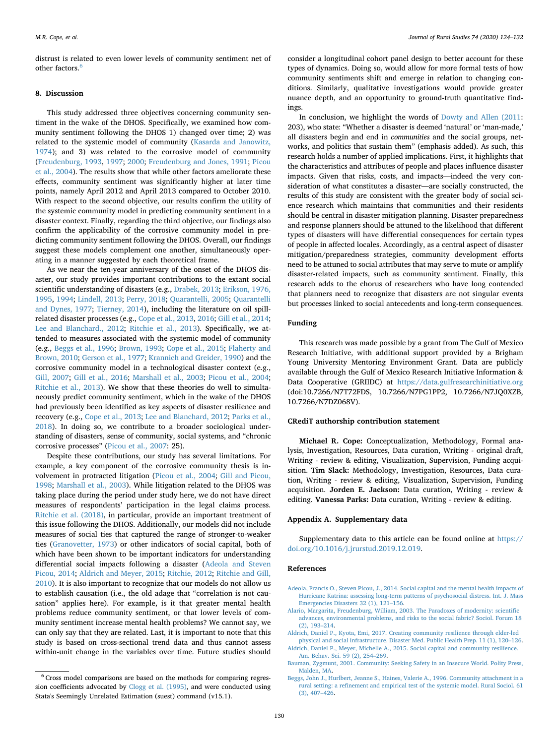distrust is related to even lower levels of community sentiment net of other factors.<sup>[6](#page-7-6)</sup>

#### **8. Discussion**

This study addressed three objectives concerning community sentiment in the wake of the DHOS. Specifically, we examined how community sentiment following the DHOS 1) changed over time; 2) was related to the systemic model of community ([Kasarda and Janowitz,](#page-8-10) [1974\)](#page-8-10); and 3) was related to the corrosive model of community ([Freudenburg, 1993](#page-8-8), [1997](#page-8-9); [2000;](#page-8-3) [Freudenburg and Jones, 1991](#page-8-11); [Picou](#page-9-2) [et al., 2004](#page-9-2)). The results show that while other factors ameliorate these effects, community sentiment was significantly higher at later time points, namely April 2012 and April 2013 compared to October 2010. With respect to the second objective, our results confirm the utility of the systemic community model in predicting community sentiment in a disaster context. Finally, regarding the third objective, our findings also confirm the applicability of the corrosive community model in predicting community sentiment following the DHOS. Overall, our findings suggest these models complement one another, simultaneously operating in a manner suggested by each theoretical frame.

As we near the ten-year anniversary of the onset of the DHOS disaster, our study provides important contributions to the extant social scientific understanding of disasters (e.g., [Drabek, 2013](#page-8-12); [Erikson, 1976,](#page-8-13) [1995,](#page-8-13) [1994](#page-8-14); [Lindell, 2013](#page-8-23); [Perry, 2018;](#page-9-0) [Quarantelli, 2005;](#page-9-3) [Quarantelli](#page-9-4) [and Dynes, 1977](#page-9-4); [Tierney, 2014](#page-9-36)), including the literature on oil spillrelated disaster processes (e.g., [Cope et al., 2013](#page-8-15), [2016](#page-8-51); [Gill et al., 2014](#page-8-49); [Lee and Blanchard., 2012](#page-8-19); [Ritchie et al., 2013\)](#page-9-21). Specifically, we attended to measures associated with the systemic model of community (e.g., [Beggs et al., 1996;](#page-7-3) [Brown, 1993;](#page-8-35) [Cope et al., 2015;](#page-8-36) [Flaherty and](#page-8-37) [Brown, 2010](#page-8-37); [Gerson et al., 1977](#page-8-38); [Krannich and Greider, 1990\)](#page-8-39) and the corrosive community model in a technological disaster context (e.g., [Gill, 2007;](#page-8-45) [Gill et al., 2016](#page-8-50); [Marshall et al., 2003;](#page-8-46) [Picou et al., 2004](#page-9-2); [Ritchie et al., 2013\)](#page-9-21). We show that these theories do well to simultaneously predict community sentiment, which in the wake of the DHOS had previously been identified as key aspects of disaster resilience and recovery (e.g., [Cope et al., 2013](#page-8-15); [Lee and Blanchard, 2012;](#page-8-19) [Parks et al.,](#page-9-15) [2018\)](#page-9-15). In doing so, we contribute to a broader sociological understanding of disasters, sense of community, social systems, and "chronic corrosive processes" ([Picou et al., 2007:](#page-9-37) 25).

Despite these contributions, our study has several limitations. For example, a key component of the corrosive community thesis is involvement in protracted litigation [\(Picou et al., 2004;](#page-9-2) [Gill and Picou,](#page-8-4) [1998;](#page-8-4) [Marshall et al., 2003](#page-8-46)). While litigation related to the DHOS was taking place during the period under study here, we do not have direct measures of respondents' participation in the legal claims process. [Ritchie et al. \(2018\)](#page-9-26), in particular, provide an important treatment of this issue following the DHOS. Additionally, our models did not include measures of social ties that captured the range of stronger-to-weaker ties [\(Granovetter, 1973\)](#page-8-65) or other indicators of social capital, both of which have been shown to be important indicators for understanding differential social impacts following a disaster ([Adeola and Steven](#page-7-4) [Picou, 2014;](#page-7-4) [Aldrich and Meyer, 2015;](#page-7-2) [Ritchie, 2012](#page-9-22); [Ritchie and Gill,](#page-9-23) [2010\)](#page-9-23). It is also important to recognize that our models do not allow us to establish causation (i.e., the old adage that "correlation is not causation" applies here). For example, is it that greater mental health problems reduce community sentiment, or that lower levels of community sentiment increase mental health problems? We cannot say, we can only say that they are related. Last, it is important to note that this study is based on cross-sectional trend data and thus cannot assess within-unit change in the variables over time. Future studies should

consider a longitudinal cohort panel design to better account for these types of dynamics. Doing so, would allow for more formal tests of how community sentiments shift and emerge in relation to changing conditions. Similarly, qualitative investigations would provide greater nuance depth, and an opportunity to ground-truth quantitative findings.

In conclusion, we highlight the words of [Dowty and Allen \(2011](#page-8-66): 203), who state: "Whether a disaster is deemed 'natural' or 'man-made,' all disasters begin and end in *communities* and the social groups, networks, and politics that sustain them" (emphasis added). As such, this research holds a number of applied implications. First, it highlights that the characteristics and attributes of people and places influence disaster impacts. Given that risks, costs, and impacts—indeed the very consideration of what constitutes a disaster—are socially constructed, the results of this study are consistent with the greater body of social science research which maintains that communities and their residents should be central in disaster mitigation planning. Disaster preparedness and response planners should be attuned to the likelihood that different types of disasters will have differential consequences for certain types of people in affected locales. Accordingly, as a central aspect of disaster mitigation/preparedness strategies, community development efforts need to be attuned to social attributes that may serve to mute or amplify disaster-related impacts, such as community sentiment. Finally, this research adds to the chorus of researchers who have long contended that planners need to recognize that disasters are not singular events but processes linked to social antecedents and long-term consequences.

# **Funding**

This research was made possible by a grant from The Gulf of Mexico Research Initiative, with additional support provided by a Brigham Young University Mentoring Environment Grant. Data are publicly available through the Gulf of Mexico Research Initiative Information & Data Cooperative (GRIIDC) at <https://data.gulfresearchinitiative.org> (doi:10.7266/N7T72FDS, 10.7266/N7PG1PP2, 10.7266/N7JQ0XZB, 10.7266/N7DZ068V).

## **CRediT authorship contribution statement**

**Michael R. Cope:** Conceptualization, Methodology, Formal analysis, Investigation, Resources, Data curation, Writing - original draft, Writing - review & editing, Visualization, Supervision, Funding acquisition. **Tim Slack:** Methodology, Investigation, Resources, Data curation, Writing - review & editing, Visualization, Supervision, Funding acquisition. **Jorden E. Jackson:** Data curation, Writing - review & editing. **Vanessa Parks:** Data curation, Writing - review & editing.

#### **Appendix A. Supplementary data**

Supplementary data to this article can be found online at [https://](https://doi.org/10.1016/j.jrurstud.2019.12.019) [doi.org/10.1016/j.jrurstud.2019.12.019](https://doi.org/10.1016/j.jrurstud.2019.12.019).

#### **References**

- <span id="page-7-4"></span>[Adeola, Francis O., Steven Picou, J., 2014. Social capital and the mental health impacts of](http://refhub.elsevier.com/S0743-0167(19)30645-X/sref1) [Hurricane Katrina: assessing long-term patterns of psychosocial distress. Int. J. Mass](http://refhub.elsevier.com/S0743-0167(19)30645-X/sref1) [Emergencies Disasters 32 \(1\), 121–156.](http://refhub.elsevier.com/S0743-0167(19)30645-X/sref1)
- <span id="page-7-5"></span>[Alario, Margarita, Freudenburg, William, 2003. The Paradoxes of modernity: scientific](http://refhub.elsevier.com/S0743-0167(19)30645-X/sref2) [advances, environmental problems, and risks to the social fabric? Sociol. Forum 18](http://refhub.elsevier.com/S0743-0167(19)30645-X/sref2) [\(2\), 193–214.](http://refhub.elsevier.com/S0743-0167(19)30645-X/sref2)
- <span id="page-7-1"></span>[Aldrich, Daniel P., Kyota, Emi, 2017. Creating community resilience through elder-led](http://refhub.elsevier.com/S0743-0167(19)30645-X/sref3) [physical and social infrastructure. Disaster Med. Public Health Prep. 11 \(1\), 120–126.](http://refhub.elsevier.com/S0743-0167(19)30645-X/sref3)
- <span id="page-7-2"></span>[Aldrich, Daniel P., Meyer, Michelle A., 2015. Social capital and community resilience.](http://refhub.elsevier.com/S0743-0167(19)30645-X/sref4) [Am. Behav. Sci. 59 \(2\), 254–269.](http://refhub.elsevier.com/S0743-0167(19)30645-X/sref4)
- <span id="page-7-0"></span>[Bauman, Zygmunt, 2001. Community: Seeking Safety in an Insecure World. Polity Press,](http://refhub.elsevier.com/S0743-0167(19)30645-X/sref5) [Malden, MA](http://refhub.elsevier.com/S0743-0167(19)30645-X/sref5).
- <span id="page-7-3"></span>[Beggs, John J., Hurlbert, Jeanne S., Haines, Valerie A., 1996. Community attachment in a](http://refhub.elsevier.com/S0743-0167(19)30645-X/sref6) [rural setting: a refinement and empirical test of the systemic model. Rural Sociol. 61](http://refhub.elsevier.com/S0743-0167(19)30645-X/sref6) [\(3\), 407–426.](http://refhub.elsevier.com/S0743-0167(19)30645-X/sref6)

<span id="page-7-6"></span> $^6$  Cross model comparisons are based on the methods for comparing regression coefficients advocated by [Clogg et al. \(1995\),](#page-8-67) and were conducted using Stata's Seemingly Unrelated Estimation (suest) command (v15.1).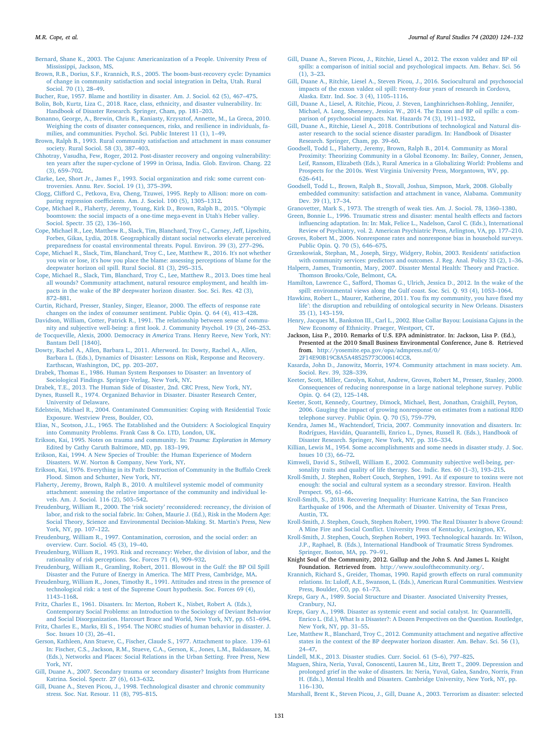<span id="page-8-63"></span>[Bernard, Shane K., 2003. The Cajuns: Americanization of a People. University Press of](http://refhub.elsevier.com/S0743-0167(19)30645-X/sref7) [Mississippi, Jackson, MS](http://refhub.elsevier.com/S0743-0167(19)30645-X/sref7).

- <span id="page-8-60"></span>[Brown, R.B., Dorius, S.F., Krannich, R.S., 2005. The boom-bust-recovery cycle: Dynamics](http://refhub.elsevier.com/S0743-0167(19)30645-X/optSjPfhzUFiI) [of change in community satisfaction and social integration in Delta, Utah. Rural](http://refhub.elsevier.com/S0743-0167(19)30645-X/optSjPfhzUFiI) [Sociol. 70 \(1\), 28–49.](http://refhub.elsevier.com/S0743-0167(19)30645-X/optSjPfhzUFiI)
- <span id="page-8-24"></span>[Bucher, Rue, 1957. Blame and hostility in disaster. Am. J. Sociol. 62 \(5\), 467–475.](http://refhub.elsevier.com/S0743-0167(19)30645-X/sref8)

<span id="page-8-1"></span>[Bolin, Bob, Kurtz, Liza C., 2018. Race, class, ethnicity, and disaster vulnerability. In:](http://refhub.elsevier.com/S0743-0167(19)30645-X/sref9) [Handbook of Disaster Research. Springer, Cham, pp. 181–203](http://refhub.elsevier.com/S0743-0167(19)30645-X/sref9).

- <span id="page-8-27"></span>[Bonanno, George, A., Brewin, Chris R., Kaniasty, Krzysztof, Annette, M., La Greca, 2010.](http://refhub.elsevier.com/S0743-0167(19)30645-X/sref10) [Weighing the costs of disaster consequences, risks, and resilience in individuals, fa](http://refhub.elsevier.com/S0743-0167(19)30645-X/sref10)[milies, and communities. Psychol. Sci. Public Interest 11 \(1\), 1–49](http://refhub.elsevier.com/S0743-0167(19)30645-X/sref10).
- <span id="page-8-35"></span>[Brown, Ralph B., 1993. Rural community satisfaction and attachment in mass consumer](http://refhub.elsevier.com/S0743-0167(19)30645-X/sref11) [society. Rural Sociol. 58 \(3\), 387–403.](http://refhub.elsevier.com/S0743-0167(19)30645-X/sref11)
- <span id="page-8-28"></span>[Chhotray, Vasudha, Few, Roger, 2012. Post-disaster recovery and ongoing vulnerability:](http://refhub.elsevier.com/S0743-0167(19)30645-X/sref12) [ten years after the super-cyclone of 1999 in Orissa, India. Glob. Environ. Chang. 22](http://refhub.elsevier.com/S0743-0167(19)30645-X/sref12) [\(3\), 659–702.](http://refhub.elsevier.com/S0743-0167(19)30645-X/sref12)
- <span id="page-8-52"></span>[Clarke, Lee, Short Jr., James F., 1993. Social organization and risk: some current con](http://refhub.elsevier.com/S0743-0167(19)30645-X/sref13)[troversies. Annu. Rev. Sociol. 19 \(1\), 375–399.](http://refhub.elsevier.com/S0743-0167(19)30645-X/sref13)
- <span id="page-8-67"></span>[Clogg, Clifford C., Petkova, Eva, Cheng, Tzuwei, 1995. Reply to Allison: more on com](http://refhub.elsevier.com/S0743-0167(19)30645-X/sref14)[paring regression coefficients. Am. J. Sociol. 100 \(5\), 1305–1312](http://refhub.elsevier.com/S0743-0167(19)30645-X/sref14).
- <span id="page-8-36"></span>[Cope, Michael R., Flaherty, Jeremy, Young, Kirk D., Brown, Ralph B., 2015. "Olympic](http://refhub.elsevier.com/S0743-0167(19)30645-X/sref15) [boomtown: the social impacts of a one-time mega-event in Utah's Heber valley.](http://refhub.elsevier.com/S0743-0167(19)30645-X/sref15) [Sociol. Spectr. 35 \(2\), 136–160](http://refhub.elsevier.com/S0743-0167(19)30645-X/sref15).
- <span id="page-8-29"></span>[Cope, Michael R., Lee, Matthew R., Slack, Tim, Blanchard, Troy C., Carney, Jeff, Lipschitz,](http://refhub.elsevier.com/S0743-0167(19)30645-X/sref16) [Forbes, Gikas, Lydia, 2018. Geographically distant social networks elevate perceived](http://refhub.elsevier.com/S0743-0167(19)30645-X/sref16) [preparedness for coastal environmental threats. Popul. Environ. 39 \(3\), 277–296.](http://refhub.elsevier.com/S0743-0167(19)30645-X/sref16)
- <span id="page-8-51"></span>[Cope, Michael R., Slack, Tim, Blanchard, Troy C., Lee, Matthew R., 2016. It's not whether](http://refhub.elsevier.com/S0743-0167(19)30645-X/sref17) [you win or lose, it's how you place the blame: assessing perceptions of blame for the](http://refhub.elsevier.com/S0743-0167(19)30645-X/sref17) [deepwater horizon oil spill. Rural Sociol. 81 \(3\), 295–315.](http://refhub.elsevier.com/S0743-0167(19)30645-X/sref17)
- <span id="page-8-15"></span>[Cope, Michael R., Slack, Tim, Blanchard, Troy C., Lee, Matthew R., 2013. Does time heal](http://refhub.elsevier.com/S0743-0167(19)30645-X/sref18) [all wounds? Community attachment, natural resource employment, and health im](http://refhub.elsevier.com/S0743-0167(19)30645-X/sref18)[pacts in the wake of the BP deepwater horizon disaster. Soc. Sci. Res. 42 \(3\),](http://refhub.elsevier.com/S0743-0167(19)30645-X/sref18) [872–881](http://refhub.elsevier.com/S0743-0167(19)30645-X/sref18).
- <span id="page-8-55"></span>[Curtin, Richard, Presser, Stanley, Singer, Eleanor, 2000. The effects of response rate](http://refhub.elsevier.com/S0743-0167(19)30645-X/sref19) [changes on the index of consumer sentiment. Public Opin. Q. 64 \(4\), 413–428](http://refhub.elsevier.com/S0743-0167(19)30645-X/sref19). [Davidson, William, Cotter, Patrick R., 1991. The relationship between sense of commu-](http://refhub.elsevier.com/S0743-0167(19)30645-X/sref20)
- <span id="page-8-40"></span><span id="page-8-20"></span>[nity and subjective well-being: a first look. J. Community Psychol. 19 \(3\), 246–253.](http://refhub.elsevier.com/S0743-0167(19)30645-X/sref20) [de Tocqueville, Alexis, 2000. Democracy](http://refhub.elsevier.com/S0743-0167(19)30645-X/sref21) *in America* Trans. Henry Reeve, New York, NY:
- <span id="page-8-66"></span>[Bantam Dell \[1840\]](http://refhub.elsevier.com/S0743-0167(19)30645-X/sref21). [Dowty, Rachel A., Allen, Barbara L., 2011. Afterword. In: Dowty, Rachel A., Allen,](http://refhub.elsevier.com/S0743-0167(19)30645-X/sref22)
- [Barbara L. \(Eds.\), Dynamics of Disaster: Lessons on Risk, Response and Recovery.](http://refhub.elsevier.com/S0743-0167(19)30645-X/sref22) [Earthscan, Washington, DC, pp. 203–207.](http://refhub.elsevier.com/S0743-0167(19)30645-X/sref22) [Drabek, Thomas E., 1986. Human System Responses to Disaster: an Inventory of](http://refhub.elsevier.com/S0743-0167(19)30645-X/sref23)
- <span id="page-8-33"></span>[Sociological Findings. Springer-Verlag, New York, NY](http://refhub.elsevier.com/S0743-0167(19)30645-X/sref23).
- <span id="page-8-30"></span><span id="page-8-12"></span>[Drabek, T.E., 2013. The Human Side of Disaster, 2nd. CRC Press, New York, NY.](http://refhub.elsevier.com/S0743-0167(19)30645-X/opt6m9UyEpe43) [Dynes, Russell R., 1974. Organized Behavior in Disaster. Disaster Research Center,](http://refhub.elsevier.com/S0743-0167(19)30645-X/sref24)
- <span id="page-8-16"></span>[University of Delaware.](http://refhub.elsevier.com/S0743-0167(19)30645-X/sref24) [Edelstein, Michael R., 2004. Contaminated Communities: Coping with Residential Toxic](http://refhub.elsevier.com/S0743-0167(19)30645-X/sref25) [Exposure. Westview Press, Boulder, CO.](http://refhub.elsevier.com/S0743-0167(19)30645-X/sref25)
- <span id="page-8-22"></span>[Elias, N., Scotson, J.L., 1965. The Established and the Outsiders: A Sociological Enquiry](http://refhub.elsevier.com/S0743-0167(19)30645-X/sref26) [into Community Problems. Frank Cass & Co. LTD, London, UK](http://refhub.elsevier.com/S0743-0167(19)30645-X/sref26).
- [Erikson, Kai, 1995. Notes on trauma and community. In:](http://refhub.elsevier.com/S0743-0167(19)30645-X/sref27) *Trauma: Exploration in Memory* [Edited by Cathy Caruth Baltimore, MD, pp. 183–199.](http://refhub.elsevier.com/S0743-0167(19)30645-X/sref27)
- <span id="page-8-14"></span>[Erikson, Kai, 1994. A New Species of Trouble: the Human Experience of Modern](http://refhub.elsevier.com/S0743-0167(19)30645-X/sref28) [Disasters. W.W. Norton & Company, New York, NY.](http://refhub.elsevier.com/S0743-0167(19)30645-X/sref28)
- <span id="page-8-13"></span>[Erikson, Kai, 1976. Everything in its Path: Destruction of Community in the Buffalo Creek](http://refhub.elsevier.com/S0743-0167(19)30645-X/sref29) [Flood. Simon and Schuster, New York, NY](http://refhub.elsevier.com/S0743-0167(19)30645-X/sref29).
- <span id="page-8-37"></span>[Flaherty, Jeremy, Brown, Ralph B., 2010. A multilevel systemic model of community](http://refhub.elsevier.com/S0743-0167(19)30645-X/sref30) [attachment: assessing the relative importance of the community and individual le](http://refhub.elsevier.com/S0743-0167(19)30645-X/sref30)[vels. Am. J. Sociol. 116 \(2\), 503–542.](http://refhub.elsevier.com/S0743-0167(19)30645-X/sref30)
- <span id="page-8-3"></span>[Freudenburg, William R., 2000. The 'risk society' reconsidered: recreancy, the division of](http://refhub.elsevier.com/S0743-0167(19)30645-X/sref31) [labor, and risk to the social fabric. In: Cohen, Maurie J. \(Ed.\), Risk in the Modern Age:](http://refhub.elsevier.com/S0743-0167(19)30645-X/sref31) [Social Theory, Science and Environmental Decision-Making. St. Martin's Press, New](http://refhub.elsevier.com/S0743-0167(19)30645-X/sref31) [York, NY, pp. 107–122](http://refhub.elsevier.com/S0743-0167(19)30645-X/sref31).
- <span id="page-8-9"></span>[Freudenburg, William R., 1997. Contamination, corrosion, and the social order: an](http://refhub.elsevier.com/S0743-0167(19)30645-X/sref32) [overview. Curr. Sociol. 45 \(3\), 19–40.](http://refhub.elsevier.com/S0743-0167(19)30645-X/sref32)
- <span id="page-8-8"></span>[Freudenburg, William R., 1993. Risk and recreancy: Weber, the division of labor, and the](http://refhub.elsevier.com/S0743-0167(19)30645-X/sref33) [rationality of risk perceptions. Soc. Forces 71 \(4\), 909–932](http://refhub.elsevier.com/S0743-0167(19)30645-X/sref33).
- <span id="page-8-64"></span>[Freudenburg, William R., Gramling, Robert, 2011. Blowout in the Gulf: the BP Oil Spill](http://refhub.elsevier.com/S0743-0167(19)30645-X/sref34) [Disaster and the Future of Energy in America. The MIT Press, Cambridge, MA](http://refhub.elsevier.com/S0743-0167(19)30645-X/sref34).
- <span id="page-8-11"></span>[Freudenburg, William R., Jones, Timothy R., 1991. Attitudes and stress in the presence of](http://refhub.elsevier.com/S0743-0167(19)30645-X/sref35) [technological risk: a test of the Supreme Court hypothesis. Soc. Forces 69 \(4\),](http://refhub.elsevier.com/S0743-0167(19)30645-X/sref35) [1143–1168](http://refhub.elsevier.com/S0743-0167(19)30645-X/sref35).
- <span id="page-8-0"></span>[Fritz, Charles E., 1961. Disasters. In: Merton, Robert K., Nisbet, Robert A. \(Eds.\),](http://refhub.elsevier.com/S0743-0167(19)30645-X/sref36) [Contemporary Social Problems: an Introduction to the Sociology of Deviant Behavior](http://refhub.elsevier.com/S0743-0167(19)30645-X/sref36) [and Social Disorganization. Harcourt Brace and World, New York, NY, pp. 651–694.](http://refhub.elsevier.com/S0743-0167(19)30645-X/sref36)
- <span id="page-8-26"></span>[Fritz, Charles E., Marks, Eli S., 1954. The NORC studies of human behavior in disaster. J.](http://refhub.elsevier.com/S0743-0167(19)30645-X/sref37) [Soc. Issues 10 \(3\), 26–41.](http://refhub.elsevier.com/S0743-0167(19)30645-X/sref37)
- <span id="page-8-38"></span>[Gerson, Kathleen, Ann Stueve, C., Fischer, Claude S., 1977. Attachment to place. 139–61](http://refhub.elsevier.com/S0743-0167(19)30645-X/sref38) [In: Fischer, C.S., Jackson, R.M., Stueve, C.A., Gerson, K., Jones, L.M., Baldassare, M.](http://refhub.elsevier.com/S0743-0167(19)30645-X/sref38) [\(Eds.\), Networks and Places: Social Relations in the Urban Setting. Free Press, New](http://refhub.elsevier.com/S0743-0167(19)30645-X/sref38) [York, NY](http://refhub.elsevier.com/S0743-0167(19)30645-X/sref38).
- <span id="page-8-45"></span>[Gill, Duane A., 2007. Secondary trauma or secondary disaster? Insights from Hurricane](http://refhub.elsevier.com/S0743-0167(19)30645-X/sref39) [Katrina. Sociol. Spectr. 27 \(6\), 613–632](http://refhub.elsevier.com/S0743-0167(19)30645-X/sref39).
- <span id="page-8-4"></span>[Gill, Duane A., Steven Picou, J., 1998. Technological disaster and chronic community](http://refhub.elsevier.com/S0743-0167(19)30645-X/sref40) [stress. Soc. Nat. Resour. 11 \(8\), 795–815](http://refhub.elsevier.com/S0743-0167(19)30645-X/sref40).
- <span id="page-8-17"></span>[Gill, Duane A., Steven Picou, J., Ritchie, Liesel A., 2012. The exxon valdez and BP oil](http://refhub.elsevier.com/S0743-0167(19)30645-X/sref41) [spills: a comparison of initial social and psychological impacts. Am. Behav. Sci. 56](http://refhub.elsevier.com/S0743-0167(19)30645-X/sref41) [\(1\), 3–23.](http://refhub.elsevier.com/S0743-0167(19)30645-X/sref41)
- <span id="page-8-50"></span>[Gill, Duane A., Ritchie, Liesel A., Steven Picou, J., 2016. Sociocultural and psychosocial](http://refhub.elsevier.com/S0743-0167(19)30645-X/sref42) [impacts of the exxon valdez oil spill: twenty-four years of research in Cordova,](http://refhub.elsevier.com/S0743-0167(19)30645-X/sref42) [Alaska. Extr. Ind. Soc. 3 \(4\), 1105–1116](http://refhub.elsevier.com/S0743-0167(19)30645-X/sref42).
- <span id="page-8-49"></span>[Gill, Duane A., Liesel, A. Ritchie, Picou, J. Steven, Langhinrichsen-Rohling, Jennifer,](http://refhub.elsevier.com/S0743-0167(19)30645-X/sref43) [Michael, A. Long, Shenesey, Jessica W., 2014. The Exxon and BP oil spills: a com](http://refhub.elsevier.com/S0743-0167(19)30645-X/sref43)[parison of psychosocial impacts. Nat. Hazards 74 \(3\), 1911–1932](http://refhub.elsevier.com/S0743-0167(19)30645-X/sref43).
- <span id="page-8-5"></span>[Gill, Duane A., Ritchie, Liesel A., 2018. Contributions of technological and Natural dis](http://refhub.elsevier.com/S0743-0167(19)30645-X/sref44)[aster research to the social science disaster paradigm. In: Handbook of Disaster](http://refhub.elsevier.com/S0743-0167(19)30645-X/sref44) [Research. Springer, Cham, pp. 39–60](http://refhub.elsevier.com/S0743-0167(19)30645-X/sref44).
- <span id="page-8-21"></span>[Goodsell, Todd L., Flaherty, Jeremy, Brown, Ralph B., 2014. Community as Moral](http://refhub.elsevier.com/S0743-0167(19)30645-X/sref45) [Proximity: Theorizing Community in a Global Economy. In: Bailey, Conner, Jensen,](http://refhub.elsevier.com/S0743-0167(19)30645-X/sref45) [Leif, Ransom, Elizabeth \(Eds.\), Rural America in a Globalizing World: Problems and](http://refhub.elsevier.com/S0743-0167(19)30645-X/sref45) [Prospects for the 2010s. West Virginia University Press, Morgantown, WV, pp.](http://refhub.elsevier.com/S0743-0167(19)30645-X/sref45) [626–641](http://refhub.elsevier.com/S0743-0167(19)30645-X/sref45).
- <span id="page-8-61"></span>[Goodsell, Todd L., Brown, Ralph B., Stovall, Joshua, Simpson, Mark, 2008. Globally](http://refhub.elsevier.com/S0743-0167(19)30645-X/sref46) [embedded community: satisfaction and attachment in vance, Alabama. Community](http://refhub.elsevier.com/S0743-0167(19)30645-X/sref46) [Dev. 39 \(1\), 17–34.](http://refhub.elsevier.com/S0743-0167(19)30645-X/sref46)

<span id="page-8-65"></span>[Granovetter, Mark S., 1973. The strength of weak ties. Am. J. Sociol. 78, 1360–1380](http://refhub.elsevier.com/S0743-0167(19)30645-X/sref47).

<span id="page-8-34"></span>[Green, Bonnie L., 1996. Traumatic stress and disaster: mental health effects and factors](http://refhub.elsevier.com/S0743-0167(19)30645-X/sref48) [influencing adaptation. In: In: Mak, Felice L., Nadelson, Carol C. \(Eds.\), International](http://refhub.elsevier.com/S0743-0167(19)30645-X/sref48) [Review of Psychiatry, vol. 2. American Psychiatric Press, Arlington, VA, pp. 177–210.](http://refhub.elsevier.com/S0743-0167(19)30645-X/sref48)

- <span id="page-8-56"></span>[Groves, Robert M., 2006. Nonresponse rates and nonresponse bias in household surveys.](http://refhub.elsevier.com/S0743-0167(19)30645-X/sref49) [Public Opin. Q. 70 \(5\), 646–675.](http://refhub.elsevier.com/S0743-0167(19)30645-X/sref49)
- <span id="page-8-41"></span>[Grzeskowiak, Stephan, M., Joseph, Sirgy, Widgery, Robin, 2003. Residents' satisfaction](http://refhub.elsevier.com/S0743-0167(19)30645-X/sref50) [with community services: predictors and outcomes. J. Reg. Anal. Policy 33 \(2\), 1–36.](http://refhub.elsevier.com/S0743-0167(19)30645-X/sref50)
- <span id="page-8-48"></span>[Halpern, James, Tramontin, Mary, 2007. Disaster Mental Health: Theory and Practice.](http://refhub.elsevier.com/S0743-0167(19)30645-X/sref51) [Thomson Brooks/Cole, Belmont, CA](http://refhub.elsevier.com/S0743-0167(19)30645-X/sref51).
- <span id="page-8-53"></span>[Hamilton, Lawrence C., Safford, Thomas G., Ulrich, Jessica D., 2012. In the wake of the](http://refhub.elsevier.com/S0743-0167(19)30645-X/sref52) [spill: environmental views along the Gulf coast. Soc. Sci. Q. 93 \(4\), 1053–1064.](http://refhub.elsevier.com/S0743-0167(19)30645-X/sref52)
- <span id="page-8-43"></span>[Hawkins, Robert L., Maurer, Katherine, 2011. You fix my community, you have fixed my](http://refhub.elsevier.com/S0743-0167(19)30645-X/sref53) [life': the disruption and rebuilding of ontological security in New Orleans. Disasters](http://refhub.elsevier.com/S0743-0167(19)30645-X/sref53) [35 \(1\), 143–159.](http://refhub.elsevier.com/S0743-0167(19)30645-X/sref53)
- <span id="page-8-62"></span>[Henry, Jacques M., Bankston III., Carl L., 2002. Blue Collar Bayou: Louisiana Cajuns in the](http://refhub.elsevier.com/S0743-0167(19)30645-X/sref54) [New Economy of Ethnicity. Praeger, Westport, CT](http://refhub.elsevier.com/S0743-0167(19)30645-X/sref54).
- <span id="page-8-54"></span>Jackson, Lisa P., 2010. Remarks of U.S. EPA administrator. In: Jackson, Lisa P. (Ed.), Presented at the 2010 Small Business Environmental Conference, June 8. Retrieved from. [http://yosemite.epa.gov/opa/admpress.nsf/0/](http://yosemite.epa.gov/opa/admpress.nsf/0/2F14E90B19C8A5A48525773C00614CC8) [2F14E90B19C8A5A48525773C00614CC8.](http://yosemite.epa.gov/opa/admpress.nsf/0/2F14E90B19C8A5A48525773C00614CC8)
- <span id="page-8-10"></span>[Kasarda, John D., Janowitz, Morris, 1974. Community attachment in mass society. Am.](http://refhub.elsevier.com/S0743-0167(19)30645-X/sref56) [Sociol. Rev. 39, 328–339.](http://refhub.elsevier.com/S0743-0167(19)30645-X/sref56)
- <span id="page-8-57"></span>[Keeter, Scott, Miller, Carolyn, Kohut, Andrew, Groves, Robert M., Presser, Stanley, 2000.](http://refhub.elsevier.com/S0743-0167(19)30645-X/sref57) [Consequences of reducing nonresponse in a large national telephone survey. Public](http://refhub.elsevier.com/S0743-0167(19)30645-X/sref57) [Opin. Q. 64 \(2\), 125–148](http://refhub.elsevier.com/S0743-0167(19)30645-X/sref57).
- <span id="page-8-58"></span>[Keeter, Scott, Kennedy, Courtney, Dimock, Michael, Best, Jonathan, Craighill, Peyton,](http://refhub.elsevier.com/S0743-0167(19)30645-X/sref58) [2006. Gauging the impact of growing nonresponse on estimates from a national RDD](http://refhub.elsevier.com/S0743-0167(19)30645-X/sref58) [telephone survey. Public Opin. Q. 70 \(5\), 759–779](http://refhub.elsevier.com/S0743-0167(19)30645-X/sref58).
- <span id="page-8-2"></span>[Kendra, James M., Wachtendorf, Tricia, 2007. Community innovation and disasters. In:](http://refhub.elsevier.com/S0743-0167(19)30645-X/sref59) [Rodrígues, Havidán, Quarantelli, Enrico L., Dynes, Russell R. \(Eds.\), Handbook of](http://refhub.elsevier.com/S0743-0167(19)30645-X/sref59) [Disaster Research. Springer, New York, NY, pp. 316–334.](http://refhub.elsevier.com/S0743-0167(19)30645-X/sref59)
- <span id="page-8-25"></span>[Killian, Lewis M., 1954. Some accomplishments and some needs in disaster study. J. Soc.](http://refhub.elsevier.com/S0743-0167(19)30645-X/sref60) [Issues 10 \(3\), 66–72](http://refhub.elsevier.com/S0743-0167(19)30645-X/sref60).
- <span id="page-8-42"></span>[Kimweli, David S., Stilwell, William E., 2002. Community subjective well-being, per](http://refhub.elsevier.com/S0743-0167(19)30645-X/sref61)[sonality traits and quality of life therapy. Soc. Indic. Res. 60 \(1–3\), 193–215.](http://refhub.elsevier.com/S0743-0167(19)30645-X/sref61)
- <span id="page-8-18"></span>[Kroll-Smith, J. Stephen, Robert Couch, Stephen, 1991. As if exposure to toxins were not](http://refhub.elsevier.com/S0743-0167(19)30645-X/sref62) [enough: the social and cultural system as a secondary stressor. Environ. Health](http://refhub.elsevier.com/S0743-0167(19)30645-X/sref62) [Perspect. 95, 61–66.](http://refhub.elsevier.com/S0743-0167(19)30645-X/sref62)
- <span id="page-8-7"></span>[Kroll-Smith, S., 2018. Recovering Inequality: Hurricane Katrina, the San Francisco](http://refhub.elsevier.com/S0743-0167(19)30645-X/optH59JGATBGw) [Earthquake of 1906, and the Aftermath of Disaster. University of Texas Press,](http://refhub.elsevier.com/S0743-0167(19)30645-X/optH59JGATBGw) [Austin, TX](http://refhub.elsevier.com/S0743-0167(19)30645-X/optH59JGATBGw).
- <span id="page-8-6"></span>[Kroll-Smith, J. Stephen, Couch, Stephen Robert, 1990. The Real Disaster Is above Ground:](http://refhub.elsevier.com/S0743-0167(19)30645-X/sref63) [A Mine Fire and Social Conflict. University Press of Kentucky, Lexington, KY.](http://refhub.elsevier.com/S0743-0167(19)30645-X/sref63)
- <span id="page-8-44"></span>[Kroll-Smith, J. Stephen, Couch, Stephen Robert, 1993. Technological hazards. In: Wilson,](http://refhub.elsevier.com/S0743-0167(19)30645-X/sref64) [J.P., Raphael, B. \(Eds.\), International Handbook of Traumatic Stress Syndromes.](http://refhub.elsevier.com/S0743-0167(19)30645-X/sref64) [Springer, Boston, MA, pp. 79–91.](http://refhub.elsevier.com/S0743-0167(19)30645-X/sref64)
- <span id="page-8-59"></span>Knight Soul of the Community, 2012. Gallup and the John S. And James L. Knight Foundation. Retrieved from. <http://www.soulofthecommunity.org/>.
- <span id="page-8-39"></span>[Krannich, Richard S., Greider, Thomas, 1990. Rapid growth effects on rural community](http://refhub.elsevier.com/S0743-0167(19)30645-X/sref66) [relations. In: Luloff, A.E., Swanson, L. \(Eds.\), American Rural Communities. Westview](http://refhub.elsevier.com/S0743-0167(19)30645-X/sref66) [Press, Boulder, CO, pp. 61–73.](http://refhub.elsevier.com/S0743-0167(19)30645-X/sref66)
- <span id="page-8-31"></span>[Kreps, Gary A., 1989. Social Structure and Disaster. Associated University Presses,](http://refhub.elsevier.com/S0743-0167(19)30645-X/sref67) [Cranbury, NJ.](http://refhub.elsevier.com/S0743-0167(19)30645-X/sref67)
- <span id="page-8-32"></span>[Kreps, Gary A., 1998. Disaster as systemic event and social catalyst. In: Quarantelli,](http://refhub.elsevier.com/S0743-0167(19)30645-X/sref68) [Enrico L. \(Ed.\), What Is a Disaster?: A Dozen Perspectives on the Question. Routledge,](http://refhub.elsevier.com/S0743-0167(19)30645-X/sref68) [New York, NY, pp. 31–55.](http://refhub.elsevier.com/S0743-0167(19)30645-X/sref68)
- <span id="page-8-19"></span>[Lee, Matthew R., Blanchard, Troy C., 2012. Community attachment and negative affective](http://refhub.elsevier.com/S0743-0167(19)30645-X/sref69) [states in the context of the BP deepwater horizon disaster. Am. Behav. Sci. 56 \(1\),](http://refhub.elsevier.com/S0743-0167(19)30645-X/sref69) [24–47](http://refhub.elsevier.com/S0743-0167(19)30645-X/sref69).
- <span id="page-8-23"></span>[Lindell, M.K., 2013. Disaster studies. Curr. Sociol. 61 \(5–6\), 797–825.](http://refhub.elsevier.com/S0743-0167(19)30645-X/optcgAgwisKg6)
- <span id="page-8-47"></span>[Maguen, Shira, Neria, Yuval, Conoscenti, Lauren M., Litz, Brett T., 2009. Depression and](http://refhub.elsevier.com/S0743-0167(19)30645-X/sref70) [prolonged grief in the wake of disasters. In: Neria, Yuval, Galea, Sandro, Norris, Fran](http://refhub.elsevier.com/S0743-0167(19)30645-X/sref70) [H. \(Eds.\), Mental Health and Disasters. Cambridge University, New York, NY, pp.](http://refhub.elsevier.com/S0743-0167(19)30645-X/sref70) [116–130](http://refhub.elsevier.com/S0743-0167(19)30645-X/sref70).
- <span id="page-8-46"></span>[Marshall, Brent K., Steven Picou, J., Gill, Duane A., 2003. Terrorism as disaster: selected](http://refhub.elsevier.com/S0743-0167(19)30645-X/sref71)